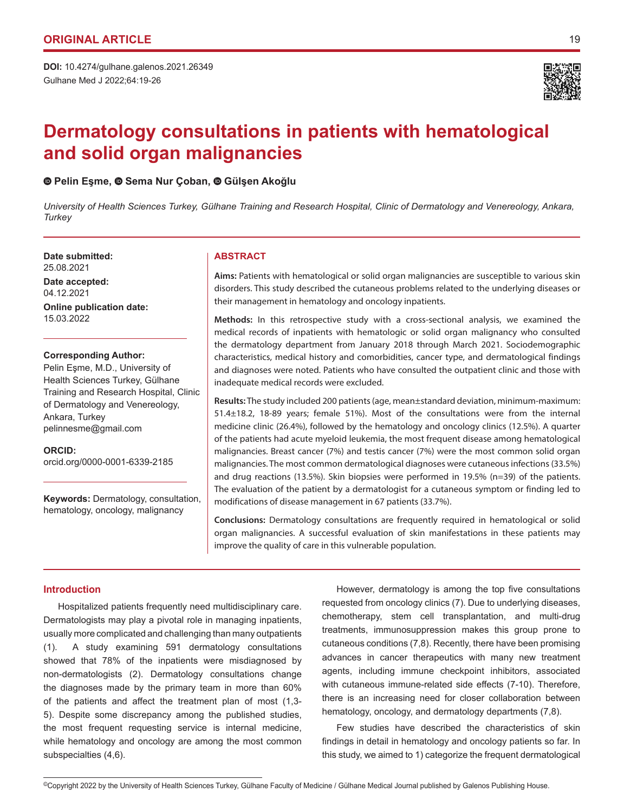Gulhane Med J 2022;64:19-26 **DOI:** 10.4274/gulhane.galenos.2021.26349



# **Dermatology consultations in patients with hematological and solid organ malignancies**

# **Pelin Eşme, Sema Nur Çoban,Gülşen Akoğlu**

*University of Health Sciences Turkey, Gülhane Training and Research Hospital, Clinic of Dermatology and Venereology, Ankara, Turkey*

**Date submitted: ABSTRACT** 25.08.2021

**Date accepted:** 04.12.2021 **Online publication date:** 15.03.2022

### **Corresponding Author:**

Pelin Eşme, M.D., University of Health Sciences Turkey, Gülhane Training and Research Hospital, Clinic of Dermatology and Venereology, Ankara, Turkey pelinnesme@gmail.com

**ORCID:**  orcid.org/0000-0001-6339-2185

**Keywords:** Dermatology, consultation, hematology, oncology, malignancy

**Aims:** Patients with hematological or solid organ malignancies are susceptible to various skin disorders. This study described the cutaneous problems related to the underlying diseases or their management in hematology and oncology inpatients.

**Methods:** In this retrospective study with a cross-sectional analysis, we examined the medical records of inpatients with hematologic or solid organ malignancy who consulted the dermatology department from January 2018 through March 2021. Sociodemographic characteristics, medical history and comorbidities, cancer type, and dermatological findings and diagnoses were noted. Patients who have consulted the outpatient clinic and those with inadequate medical records were excluded.

**Results:** The study included 200 patients (age, mean±standard deviation, minimum-maximum: 51.4±18.2, 18-89 years; female 51%). Most of the consultations were from the internal medicine clinic (26.4%), followed by the hematology and oncology clinics (12.5%). A quarter of the patients had acute myeloid leukemia, the most frequent disease among hematological malignancies. Breast cancer (7%) and testis cancer (7%) were the most common solid organ malignancies. The most common dermatological diagnoses were cutaneous infections (33.5%) and drug reactions (13.5%). Skin biopsies were performed in 19.5% (n=39) of the patients. The evaluation of the patient by a dermatologist for a cutaneous symptom or finding led to modifications of disease management in 67 patients (33.7%).

**Conclusions:** Dermatology consultations are frequently required in hematological or solid organ malignancies. A successful evaluation of skin manifestations in these patients may improve the quality of care in this vulnerable population.

# **Introduction**

Hospitalized patients frequently need multidisciplinary care. Dermatologists may play a pivotal role in managing inpatients, usually more complicated and challenging than many outpatients (1). A study examining 591 dermatology consultations showed that 78% of the inpatients were misdiagnosed by non-dermatologists (2). Dermatology consultations change the diagnoses made by the primary team in more than 60% of the patients and affect the treatment plan of most (1,3- 5). Despite some discrepancy among the published studies, the most frequent requesting service is internal medicine, while hematology and oncology are among the most common subspecialties (4,6).

However, dermatology is among the top five consultations requested from oncology clinics (7). Due to underlying diseases, chemotherapy, stem cell transplantation, and multi-drug treatments, immunosuppression makes this group prone to cutaneous conditions (7,8). Recently, there have been promising advances in cancer therapeutics with many new treatment agents, including immune checkpoint inhibitors, associated with cutaneous immune-related side effects (7-10). Therefore, there is an increasing need for closer collaboration between hematology, oncology, and dermatology departments (7,8).

Few studies have described the characteristics of skin findings in detail in hematology and oncology patients so far. In this study, we aimed to 1) categorize the frequent dermatological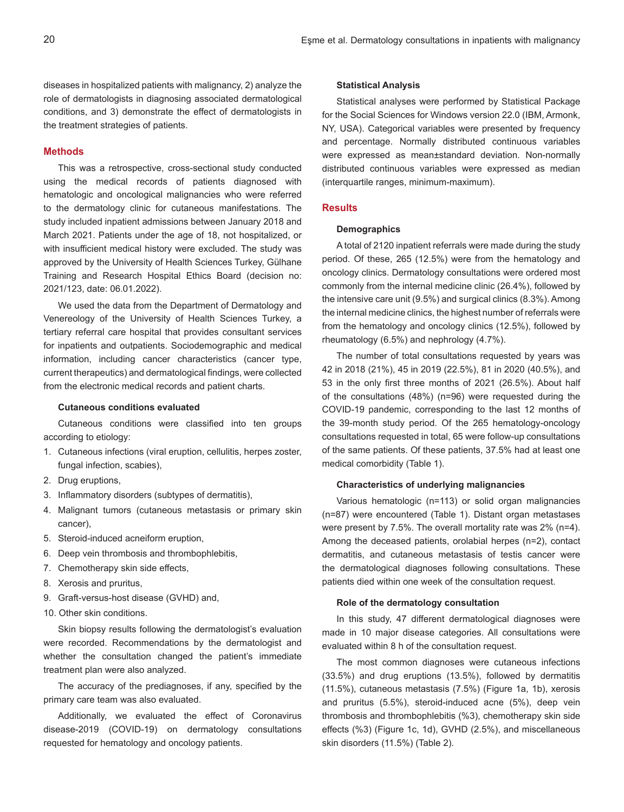diseases in hospitalized patients with malignancy, 2) analyze the role of dermatologists in diagnosing associated dermatological conditions, and 3) demonstrate the effect of dermatologists in the treatment strategies of patients.

#### **Methods**

This was a retrospective, cross-sectional study conducted using the medical records of patients diagnosed with hematologic and oncological malignancies who were referred to the dermatology clinic for cutaneous manifestations. The study included inpatient admissions between January 2018 and March 2021. Patients under the age of 18, not hospitalized, or with insufficient medical history were excluded. The study was approved by the University of Health Sciences Turkey, Gülhane Training and Research Hospital Ethics Board (decision no: 2021/123, date: 06.01.2022).

We used the data from the Department of Dermatology and Venereology of the University of Health Sciences Turkey, a tertiary referral care hospital that provides consultant services for inpatients and outpatients. Sociodemographic and medical information, including cancer characteristics (cancer type, current therapeutics) and dermatological findings, were collected from the electronic medical records and patient charts.

# **Cutaneous conditions evaluated**

Cutaneous conditions were classified into ten groups according to etiology:

- 1. Cutaneous infections (viral eruption, cellulitis, herpes zoster, fungal infection, scabies),
- 2. Drug eruptions,
- 3. Inflammatory disorders (subtypes of dermatitis),
- 4. Malignant tumors (cutaneous metastasis or primary skin cancer),
- 5. Steroid-induced acneiform eruption,
- 6. Deep vein thrombosis and thrombophlebitis,
- 7. Chemotherapy skin side effects,
- 8. Xerosis and pruritus,
- 9. Graft-versus-host disease (GVHD) and,
- 10. Other skin conditions.

Skin biopsy results following the dermatologist's evaluation were recorded. Recommendations by the dermatologist and whether the consultation changed the patient's immediate treatment plan were also analyzed.

The accuracy of the prediagnoses, if any, specified by the primary care team was also evaluated.

Additionally, we evaluated the effect of Coronavirus disease-2019 (COVID-19) on dermatology consultations requested for hematology and oncology patients.

#### **Statistical Analysis**

Statistical analyses were performed by Statistical Package for the Social Sciences for Windows version 22.0 (IBM, Armonk, NY, USA). Categorical variables were presented by frequency and percentage. Normally distributed continuous variables were expressed as mean±standard deviation. Non-normally distributed continuous variables were expressed as median (interquartile ranges, minimum-maximum).

### **Results**

#### **Demographics**

A total of 2120 inpatient referrals were made during the study period. Of these, 265 (12.5%) were from the hematology and oncology clinics. Dermatology consultations were ordered most commonly from the internal medicine clinic (26.4%), followed by the intensive care unit (9.5%) and surgical clinics (8.3%). Among the internal medicine clinics, the highest number of referrals were from the hematology and oncology clinics (12.5%), followed by rheumatology (6.5%) and nephrology (4.7%).

The number of total consultations requested by years was 42 in 2018 (21%), 45 in 2019 (22.5%), 81 in 2020 (40.5%), and 53 in the only first three months of 2021 (26.5%). About half of the consultations (48%) (n=96) were requested during the COVID-19 pandemic, corresponding to the last 12 months of the 39-month study period. Of the 265 hematology-oncology consultations requested in total, 65 were follow-up consultations of the same patients. Of these patients, 37.5% had at least one medical comorbidity (Table 1).

#### **Characteristics of underlying malignancies**

Various hematologic (n=113) or solid organ malignancies (n=87) were encountered (Table 1). Distant organ metastases were present by 7.5%. The overall mortality rate was 2% (n=4). Among the deceased patients, orolabial herpes (n=2), contact dermatitis, and cutaneous metastasis of testis cancer were the dermatological diagnoses following consultations. These patients died within one week of the consultation request.

#### **Role of the dermatology consultation**

In this study, 47 different dermatological diagnoses were made in 10 major disease categories. All consultations were evaluated within 8 h of the consultation request.

The most common diagnoses were cutaneous infections (33.5%) and drug eruptions (13.5%), followed by dermatitis (11.5%), cutaneous metastasis (7.5%) (Figure 1a, 1b), xerosis and pruritus (5.5%), steroid-induced acne (5%), deep vein thrombosis and thrombophlebitis (%3), chemotherapy skin side effects (%3) (Figure 1c, 1d), GVHD (2.5%), and miscellaneous skin disorders (11.5%) (Table 2).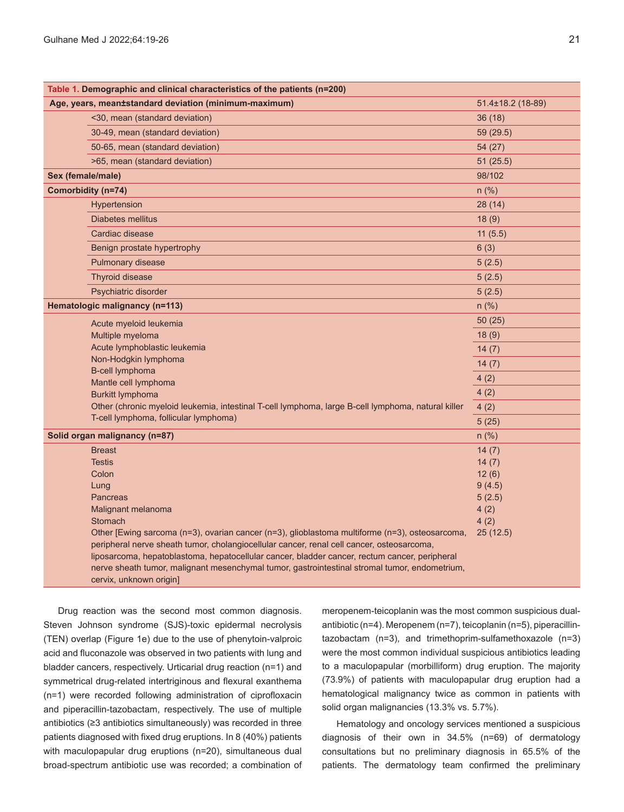| Table 1. Demographic and clinical characteristics of the patients (n=200)                                                                                                                      |                   |
|------------------------------------------------------------------------------------------------------------------------------------------------------------------------------------------------|-------------------|
| Age, years, mean±standard deviation (minimum-maximum)                                                                                                                                          | 51.4±18.2 (18-89) |
| <30, mean (standard deviation)                                                                                                                                                                 | 36(18)            |
| 30-49, mean (standard deviation)                                                                                                                                                               | 59 (29.5)         |
| 50-65, mean (standard deviation)                                                                                                                                                               | 54 (27)           |
| >65, mean (standard deviation)                                                                                                                                                                 | 51 (25.5)         |
| Sex (female/male)                                                                                                                                                                              | 98/102            |
| Comorbidity (n=74)                                                                                                                                                                             | n (%)             |
| Hypertension                                                                                                                                                                                   | 28(14)            |
| Diabetes mellitus                                                                                                                                                                              | 18(9)             |
| Cardiac disease                                                                                                                                                                                | 11(5.5)           |
| Benign prostate hypertrophy                                                                                                                                                                    | 6(3)              |
| Pulmonary disease                                                                                                                                                                              | 5(2.5)            |
| Thyroid disease                                                                                                                                                                                | 5(2.5)            |
| Psychiatric disorder                                                                                                                                                                           | 5(2.5)            |
| Hematologic malignancy (n=113)                                                                                                                                                                 | $n$ (%)           |
| Acute myeloid leukemia                                                                                                                                                                         | 50(25)            |
| Multiple myeloma                                                                                                                                                                               | 18(9)             |
| Acute lymphoblastic leukemia                                                                                                                                                                   | 14(7)             |
| Non-Hodgkin lymphoma                                                                                                                                                                           | 14(7)             |
| <b>B-cell lymphoma</b><br>Mantle cell lymphoma                                                                                                                                                 | 4(2)              |
| <b>Burkitt lymphoma</b>                                                                                                                                                                        | 4(2)              |
| Other (chronic myeloid leukemia, intestinal T-cell lymphoma, large B-cell lymphoma, natural killer                                                                                             | 4(2)              |
| T-cell lymphoma, follicular lymphoma)                                                                                                                                                          | 5(25)             |
| Solid organ malignancy (n=87)                                                                                                                                                                  | $n$ (%)           |
| <b>Breast</b>                                                                                                                                                                                  | 14(7)             |
| <b>Testis</b>                                                                                                                                                                                  | 14(7)             |
| Colon                                                                                                                                                                                          | 12(6)             |
| Lung                                                                                                                                                                                           | 9(4.5)            |
| <b>Pancreas</b>                                                                                                                                                                                | 5(2.5)            |
| Malignant melanoma                                                                                                                                                                             | 4(2)              |
| <b>Stomach</b>                                                                                                                                                                                 | 4(2)              |
| Other [Ewing sarcoma (n=3), ovarian cancer (n=3), glioblastoma multiforme (n=3), osteosarcoma,                                                                                                 | 25(12.5)          |
| peripheral nerve sheath tumor, cholangiocellular cancer, renal cell cancer, osteosarcoma,                                                                                                      |                   |
| liposarcoma, hepatoblastoma, hepatocellular cancer, bladder cancer, rectum cancer, peripheral<br>nerve sheath tumor, malignant mesenchymal tumor, gastrointestinal stromal tumor, endometrium, |                   |
| cervix, unknown origin]                                                                                                                                                                        |                   |
|                                                                                                                                                                                                |                   |

Drug reaction was the second most common diagnosis. Steven Johnson syndrome (SJS)-toxic epidermal necrolysis (TEN) overlap (Figure 1e) due to the use of phenytoin-valproic acid and fluconazole was observed in two patients with lung and bladder cancers, respectively. Urticarial drug reaction (n=1) and symmetrical drug-related intertriginous and flexural exanthema (n=1) were recorded following administration of ciprofloxacin and piperacillin-tazobactam, respectively. The use of multiple antibiotics (≥3 antibiotics simultaneously) was recorded in three patients diagnosed with fixed drug eruptions. In 8 (40%) patients with maculopapular drug eruptions (n=20), simultaneous dual broad-spectrum antibiotic use was recorded; a combination of

meropenem-teicoplanin was the most common suspicious dualantibiotic (n=4). Meropenem (n=7), teicoplanin (n=5), piperacillintazobactam (n=3), and trimethoprim-sulfamethoxazole (n=3) were the most common individual suspicious antibiotics leading to a maculopapular (morbilliform) drug eruption. The majority (73.9%) of patients with maculopapular drug eruption had a hematological malignancy twice as common in patients with solid organ malignancies (13.3% vs. 5.7%).

Hematology and oncology services mentioned a suspicious diagnosis of their own in 34.5% (n=69) of dermatology consultations but no preliminary diagnosis in 65.5% of the patients. The dermatology team confirmed the preliminary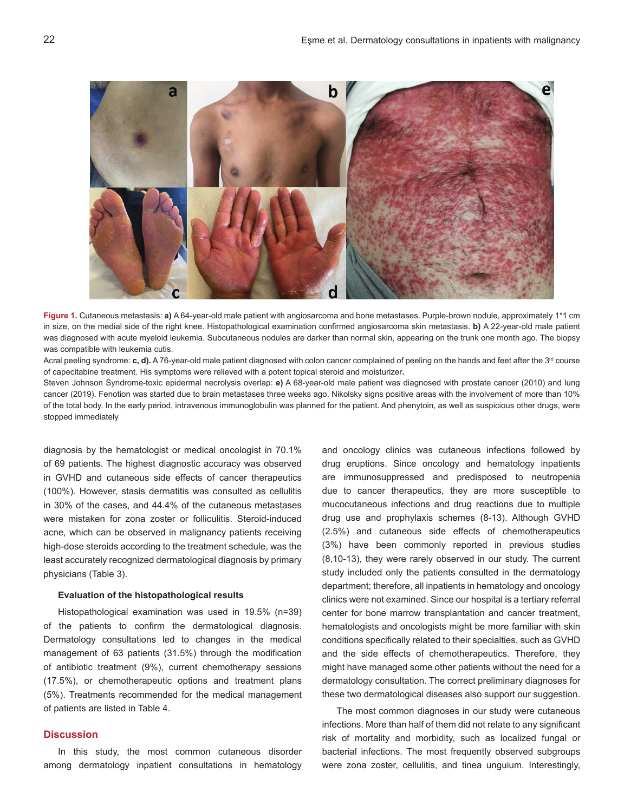

**Figure 1.** Cutaneous metastasis: **a)** A 64-year-old male patient with angiosarcoma and bone metastases. Purple-brown nodule, approximately 1\*1 cm in size, on the medial side of the right knee. Histopathological examination confirmed angiosarcoma skin metastasis. **b)** A 22-year-old male patient was diagnosed with acute myeloid leukemia. Subcutaneous nodules are darker than normal skin, appearing on the trunk one month ago. The biopsy was compatible with leukemia cutis.

Acral peeling syndrome: **c, d)**. A 76-year-old male patient diagnosed with colon cancer complained of peeling on the hands and feet after the 3<sup>rd</sup> course of capecitabine treatment. His symptoms were relieved with a potent topical steroid and moisturizer**.**

Steven Johnson Syndrome-toxic epidermal necrolysis overlap: **e)** A 68-year-old male patient was diagnosed with prostate cancer (2010) and lung cancer (2019). Fenotion was started due to brain metastases three weeks ago. Nikolsky signs positive areas with the involvement of more than 10% of the total body. In the early period, intravenous immunoglobulin was planned for the patient. And phenytoin, as well as suspicious other drugs, were stopped immediately

diagnosis by the hematologist or medical oncologist in 70.1% of 69 patients. The highest diagnostic accuracy was observed in GVHD and cutaneous side effects of cancer therapeutics (100%). However, stasis dermatitis was consulted as cellulitis in 30% of the cases, and 44.4% of the cutaneous metastases were mistaken for zona zoster or folliculitis. Steroid-induced acne, which can be observed in malignancy patients receiving high-dose steroids according to the treatment schedule, was the least accurately recognized dermatological diagnosis by primary physicians (Table 3).

### **Evaluation of the histopathological results**

Histopathological examination was used in 19.5% (n=39) of the patients to confirm the dermatological diagnosis. Dermatology consultations led to changes in the medical management of 63 patients (31.5%) through the modification of antibiotic treatment (9%), current chemotherapy sessions (17.5%), or chemotherapeutic options and treatment plans (5%). Treatments recommended for the medical management of patients are listed in Table 4.

# **Discussion**

In this study, the most common cutaneous disorder among dermatology inpatient consultations in hematology

and oncology clinics was cutaneous infections followed by drug eruptions. Since oncology and hematology inpatients are immunosuppressed and predisposed to neutropenia due to cancer therapeutics, they are more susceptible to mucocutaneous infections and drug reactions due to multiple drug use and prophylaxis schemes (8-13). Although GVHD (2.5%) and cutaneous side effects of chemotherapeutics (3%) have been commonly reported in previous studies (8,10-13), they were rarely observed in our study. The current study included only the patients consulted in the dermatology department; therefore, all inpatients in hematology and oncology clinics were not examined. Since our hospital is a tertiary referral center for bone marrow transplantation and cancer treatment, hematologists and oncologists might be more familiar with skin conditions specifically related to their specialties, such as GVHD and the side effects of chemotherapeutics. Therefore, they might have managed some other patients without the need for a dermatology consultation. The correct preliminary diagnoses for these two dermatological diseases also support our suggestion.

The most common diagnoses in our study were cutaneous infections. More than half of them did not relate to any significant risk of mortality and morbidity, such as localized fungal or bacterial infections. The most frequently observed subgroups were zona zoster, cellulitis, and tinea unguium. Interestingly,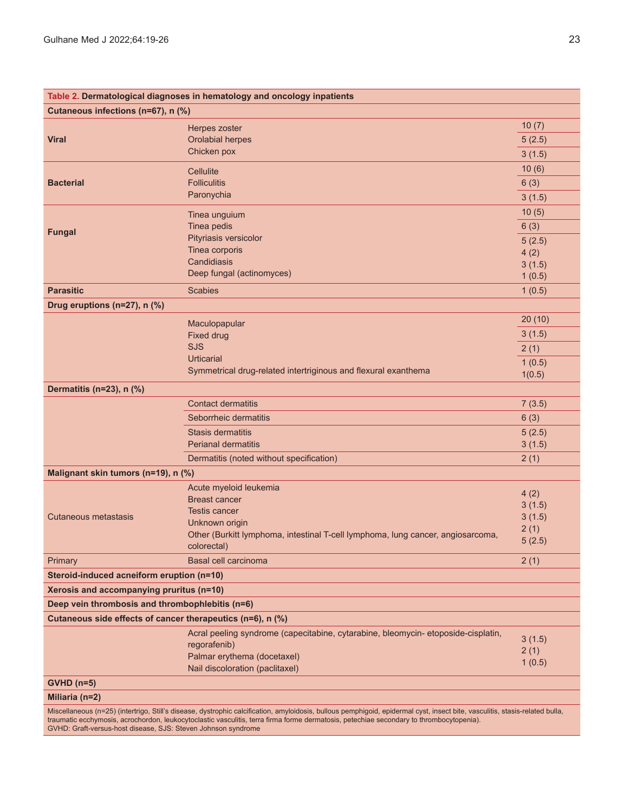|                                                                                                                                                                              | Table 2. Dermatological diagnoses in hematology and oncology inpatients          |        |  |  |  |
|------------------------------------------------------------------------------------------------------------------------------------------------------------------------------|----------------------------------------------------------------------------------|--------|--|--|--|
| Cutaneous infections (n=67), n (%)                                                                                                                                           |                                                                                  |        |  |  |  |
|                                                                                                                                                                              | Herpes zoster                                                                    | 10(7)  |  |  |  |
| <b>Viral</b>                                                                                                                                                                 | <b>Orolabial herpes</b>                                                          | 5(2.5) |  |  |  |
|                                                                                                                                                                              | Chicken pox                                                                      | 3(1.5) |  |  |  |
|                                                                                                                                                                              | <b>Cellulite</b>                                                                 | 10(6)  |  |  |  |
| <b>Bacterial</b>                                                                                                                                                             | <b>Folliculitis</b>                                                              | 6(3)   |  |  |  |
|                                                                                                                                                                              | Paronychia                                                                       | 3(1.5) |  |  |  |
|                                                                                                                                                                              |                                                                                  | 10(5)  |  |  |  |
|                                                                                                                                                                              | Tinea unguium<br>Tinea pedis                                                     | 6(3)   |  |  |  |
| <b>Fungal</b>                                                                                                                                                                | Pityriasis versicolor                                                            |        |  |  |  |
|                                                                                                                                                                              | Tinea corporis                                                                   | 5(2.5) |  |  |  |
|                                                                                                                                                                              | Candidiasis                                                                      | 4(2)   |  |  |  |
|                                                                                                                                                                              | Deep fungal (actinomyces)                                                        | 3(1.5) |  |  |  |
|                                                                                                                                                                              |                                                                                  | 1(0.5) |  |  |  |
| <b>Parasitic</b>                                                                                                                                                             | <b>Scabies</b>                                                                   | 1(0.5) |  |  |  |
| Drug eruptions (n=27), n (%)                                                                                                                                                 |                                                                                  |        |  |  |  |
|                                                                                                                                                                              | Maculopapular                                                                    | 20(10) |  |  |  |
|                                                                                                                                                                              | <b>Fixed drug</b>                                                                | 3(1.5) |  |  |  |
|                                                                                                                                                                              | <b>SJS</b>                                                                       | 2(1)   |  |  |  |
|                                                                                                                                                                              | <b>Urticarial</b>                                                                | 1(0.5) |  |  |  |
|                                                                                                                                                                              | Symmetrical drug-related intertriginous and flexural exanthema                   | 1(0.5) |  |  |  |
| Dermatitis (n=23), n (%)                                                                                                                                                     |                                                                                  |        |  |  |  |
|                                                                                                                                                                              | <b>Contact dermatitis</b>                                                        | 7(3.5) |  |  |  |
|                                                                                                                                                                              | Seborrheic dermatitis                                                            | 6(3)   |  |  |  |
|                                                                                                                                                                              | <b>Stasis dermatitis</b>                                                         | 5(2.5) |  |  |  |
|                                                                                                                                                                              | <b>Perianal dermatitis</b>                                                       | 3(1.5) |  |  |  |
|                                                                                                                                                                              | Dermatitis (noted without specification)                                         | 2(1)   |  |  |  |
| Malignant skin tumors (n=19), n (%)                                                                                                                                          |                                                                                  |        |  |  |  |
|                                                                                                                                                                              | Acute myeloid leukemia                                                           | 4(2)   |  |  |  |
|                                                                                                                                                                              | <b>Breast cancer</b>                                                             | 3(1.5) |  |  |  |
| Cutaneous metastasis                                                                                                                                                         | <b>Testis cancer</b>                                                             | 3(1.5) |  |  |  |
|                                                                                                                                                                              | Unknown origin                                                                   | 2(1)   |  |  |  |
|                                                                                                                                                                              | Other (Burkitt lymphoma, intestinal T-cell lymphoma, lung cancer, angiosarcoma,  | 5(2.5) |  |  |  |
|                                                                                                                                                                              | colorectal)                                                                      |        |  |  |  |
| Primary                                                                                                                                                                      | Basal cell carcinoma                                                             | 2(1)   |  |  |  |
| Steroid-induced acneiform eruption (n=10)                                                                                                                                    |                                                                                  |        |  |  |  |
| Xerosis and accompanying pruritus (n=10)                                                                                                                                     |                                                                                  |        |  |  |  |
| Deep vein thrombosis and thrombophlebitis (n=6)                                                                                                                              |                                                                                  |        |  |  |  |
| Cutaneous side effects of cancer therapeutics (n=6), n (%)                                                                                                                   |                                                                                  |        |  |  |  |
|                                                                                                                                                                              | Acral peeling syndrome (capecitabine, cytarabine, bleomycin-etoposide-cisplatin, | 3(1.5) |  |  |  |
|                                                                                                                                                                              | regorafenib)                                                                     | 2(1)   |  |  |  |
|                                                                                                                                                                              | Palmar erythema (docetaxel)                                                      | 1(0.5) |  |  |  |
|                                                                                                                                                                              | Nail discoloration (paclitaxel)                                                  |        |  |  |  |
| $GVHD$ (n=5)                                                                                                                                                                 |                                                                                  |        |  |  |  |
| Miliaria (n=2)                                                                                                                                                               |                                                                                  |        |  |  |  |
| Miscellaneous (n=25) (intertrigo, Still's disease, dystrophic calcification, amyloidosis, bullous pemphigoid, epidermal cyst, insect bite, vasculitis, stasis-related bulla, |                                                                                  |        |  |  |  |

traumatic ecchymosis, acrochordon, leukocytoclastic vasculitis, terra firma forme dermatosis, petechiae secondary to thrombocytopenia).

GVHD: Graft-versus-host disease, SJS: Steven Johnson syndrome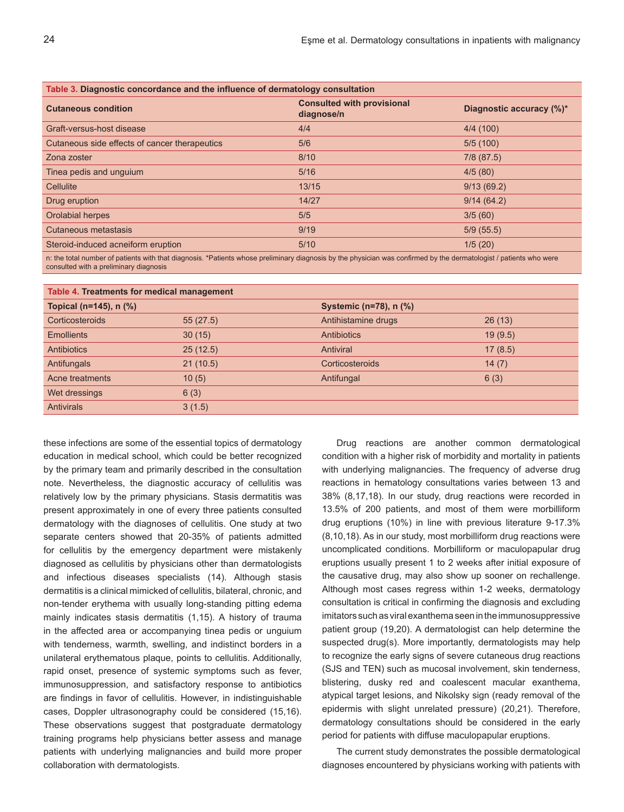| Table 3. Diagnostic concordance and the influence of dermatology consultation |                                                 |                          |  |  |
|-------------------------------------------------------------------------------|-------------------------------------------------|--------------------------|--|--|
| <b>Cutaneous condition</b>                                                    | <b>Consulted with provisional</b><br>diagnose/n | Diagnostic accuracy (%)* |  |  |
| Graft-versus-host disease                                                     | 4/4                                             | 4/4(100)                 |  |  |
| Cutaneous side effects of cancer therapeutics                                 | 5/6                                             | 5/5(100)                 |  |  |
| Zona zoster                                                                   | 8/10                                            | $7/8$ (87.5)             |  |  |
| Tinea pedis and unguium                                                       | 5/16                                            | 4/5(80)                  |  |  |
| Cellulite                                                                     | 13/15                                           | 9/13(69.2)               |  |  |
| Drug eruption                                                                 | 14/27                                           | 9/14(64.2)               |  |  |
| Orolabial herpes                                                              | 5/5                                             | 3/5(60)                  |  |  |
| Cutaneous metastasis                                                          | 9/19                                            | 5/9(55.5)                |  |  |
| Steroid-induced acneiform eruption                                            | 5/10                                            | 1/5(20)                  |  |  |
|                                                                               |                                                 |                          |  |  |

n: the total number of patients with that diagnosis. \*Patients whose preliminary diagnosis by the physician was confirmed by the dermatologist / patients who were consulted with a preliminary diagnosis

| Table 4. Treatments for medical management |          |                        |         |  |  |
|--------------------------------------------|----------|------------------------|---------|--|--|
| Topical (n=145), n (%)                     |          | Systemic (n=78), n (%) |         |  |  |
| Corticosteroids                            | 55(27.5) | Antihistamine drugs    | 26(13)  |  |  |
| <b>Emollients</b>                          | 30(15)   | Antibiotics            | 19(9.5) |  |  |
| <b>Antibiotics</b>                         | 25(12.5) | Antiviral              | 17(8.5) |  |  |
| Antifungals                                | 21(10.5) | Corticosteroids        | 14(7)   |  |  |
| Acne treatments                            | 10(5)    | Antifungal             | 6(3)    |  |  |
| Wet dressings                              | 6(3)     |                        |         |  |  |
| <b>Antivirals</b>                          | 3(1.5)   |                        |         |  |  |

these infections are some of the essential topics of dermatology education in medical school, which could be better recognized by the primary team and primarily described in the consultation note. Nevertheless, the diagnostic accuracy of cellulitis was relatively low by the primary physicians. Stasis dermatitis was present approximately in one of every three patients consulted dermatology with the diagnoses of cellulitis. One study at two separate centers showed that 20-35% of patients admitted for cellulitis by the emergency department were mistakenly diagnosed as cellulitis by physicians other than dermatologists and infectious diseases specialists (14). Although stasis dermatitis is a clinical mimicked of cellulitis, bilateral, chronic, and non-tender erythema with usually long-standing pitting edema mainly indicates stasis dermatitis (1,15). A history of trauma in the affected area or accompanying tinea pedis or unguium with tenderness, warmth, swelling, and indistinct borders in a unilateral erythematous plaque, points to cellulitis. Additionally, rapid onset, presence of systemic symptoms such as fever, immunosuppression, and satisfactory response to antibiotics are findings in favor of cellulitis. However, in indistinguishable cases, Doppler ultrasonography could be considered (15,16). These observations suggest that postgraduate dermatology training programs help physicians better assess and manage patients with underlying malignancies and build more proper collaboration with dermatologists.

Drug reactions are another common dermatological condition with a higher risk of morbidity and mortality in patients with underlying malignancies. The frequency of adverse drug reactions in hematology consultations varies between 13 and 38% (8,17,18). In our study, drug reactions were recorded in 13.5% of 200 patients, and most of them were morbilliform drug eruptions (10%) in line with previous literature 9-17.3% (8,10,18). As in our study, most morbilliform drug reactions were uncomplicated conditions. Morbilliform or maculopapular drug eruptions usually present 1 to 2 weeks after initial exposure of the causative drug, may also show up sooner on rechallenge. Although most cases regress within 1-2 weeks, dermatology consultation is critical in confirming the diagnosis and excluding imitators such as viral exanthema seen in the immunosuppressive patient group (19,20). A dermatologist can help determine the suspected drug(s). More importantly, dermatologists may help to recognize the early signs of severe cutaneous drug reactions (SJS and TEN) such as mucosal involvement, skin tenderness, blistering, dusky red and coalescent macular exanthema, atypical target lesions, and Nikolsky sign (ready removal of the epidermis with slight unrelated pressure) (20,21). Therefore, dermatology consultations should be considered in the early period for patients with diffuse maculopapular eruptions.

The current study demonstrates the possible dermatological diagnoses encountered by physicians working with patients with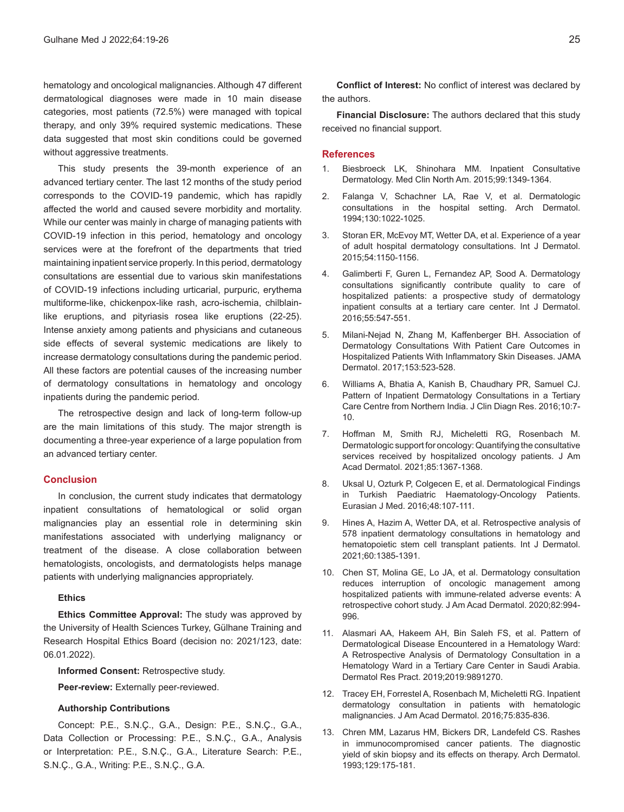hematology and oncological malignancies. Although 47 different dermatological diagnoses were made in 10 main disease categories, most patients (72.5%) were managed with topical therapy, and only 39% required systemic medications. These data suggested that most skin conditions could be governed without aggressive treatments.

This study presents the 39-month experience of an advanced tertiary center. The last 12 months of the study period corresponds to the COVID-19 pandemic, which has rapidly affected the world and caused severe morbidity and mortality. While our center was mainly in charge of managing patients with COVID-19 infection in this period, hematology and oncology services were at the forefront of the departments that tried maintaining inpatient service properly. In this period, dermatology consultations are essential due to various skin manifestations of COVID-19 infections including urticarial, purpuric, erythema multiforme-like, chickenpox-like rash, acro-ischemia, chilblainlike eruptions, and pityriasis rosea like eruptions (22-25). Intense anxiety among patients and physicians and cutaneous side effects of several systemic medications are likely to increase dermatology consultations during the pandemic period. All these factors are potential causes of the increasing number of dermatology consultations in hematology and oncology inpatients during the pandemic period.

The retrospective design and lack of long-term follow-up are the main limitations of this study. The major strength is documenting a three-year experience of a large population from an advanced tertiary center.

# **Conclusion**

In conclusion, the current study indicates that dermatology inpatient consultations of hematological or solid organ malignancies play an essential role in determining skin manifestations associated with underlying malignancy or treatment of the disease. A close collaboration between hematologists, oncologists, and dermatologists helps manage patients with underlying malignancies appropriately.

### **Ethics**

**Ethics Committee Approval:** The study was approved by the University of Health Sciences Turkey, Gülhane Training and Research Hospital Ethics Board (decision no: 2021/123, date: 06.01.2022).

**Informed Consent:** Retrospective study.

**Peer-review:** Externally peer-reviewed.

#### **Authorship Contributions**

Concept: P.E., S.N.Ç., G.A., Design: P.E., S.N.Ç., G.A., Data Collection or Processing: P.E., S.N.Ç., G.A., Analysis or Interpretation: P.E., S.N.Ç., G.A., Literature Search: P.E., S.N.Ç., G.A., Writing: P.E., S.N.Ç., G.A.

**Conflict of Interest:** No conflict of interest was declared by the authors.

**Financial Disclosure:** The authors declared that this study received no financial support.

#### **References**

- 1. Biesbroeck LK, Shinohara MM. Inpatient Consultative Dermatology. Med Clin North Am. 2015;99:1349-1364.
- 2. Falanga V, Schachner LA, Rae V, et al. Dermatologic consultations in the hospital setting. Arch Dermatol. 1994;130:1022-1025.
- 3. Storan ER, McEvoy MT, Wetter DA, et al. Experience of a year of adult hospital dermatology consultations. Int J Dermatol. 2015;54:1150-1156.
- 4. Galimberti F, Guren L, Fernandez AP, Sood A. Dermatology consultations significantly contribute quality to care of hospitalized patients: a prospective study of dermatology inpatient consults at a tertiary care center. Int J Dermatol. 2016;55:547-551.
- 5. Milani-Nejad N, Zhang M, Kaffenberger BH. Association of Dermatology Consultations With Patient Care Outcomes in Hospitalized Patients With Inflammatory Skin Diseases. JAMA Dermatol. 2017;153:523-528.
- 6. Williams A, Bhatia A, Kanish B, Chaudhary PR, Samuel CJ. Pattern of Inpatient Dermatology Consultations in a Tertiary Care Centre from Northern India. J Clin Diagn Res. 2016;10:7- 10.
- 7. Hoffman M, Smith RJ, Micheletti RG, Rosenbach M. Dermatologic support for oncology: Quantifying the consultative services received by hospitalized oncology patients. J Am Acad Dermatol. 2021;85:1367-1368.
- 8. Uksal U, Ozturk P, Colgecen E, et al. Dermatological Findings in Turkish Paediatric Haematology-Oncology Patients. Eurasian J Med. 2016;48:107-111.
- 9. Hines A, Hazim A, Wetter DA, et al. Retrospective analysis of 578 inpatient dermatology consultations in hematology and hematopoietic stem cell transplant patients. Int J Dermatol. 2021;60:1385-1391.
- 10. Chen ST, Molina GE, Lo JA, et al. Dermatology consultation reduces interruption of oncologic management among hospitalized patients with immune-related adverse events: A retrospective cohort study. J Am Acad Dermatol. 2020;82:994- 996.
- 11. Alasmari AA, Hakeem AH, Bin Saleh FS, et al. Pattern of Dermatological Disease Encountered in a Hematology Ward: A Retrospective Analysis of Dermatology Consultation in a Hematology Ward in a Tertiary Care Center in Saudi Arabia. Dermatol Res Pract. 2019;2019:9891270.
- 12. Tracey EH, Forrestel A, Rosenbach M, Micheletti RG. Inpatient dermatology consultation in patients with hematologic malignancies. J Am Acad Dermatol. 2016;75:835-836.
- 13. Chren MM, Lazarus HM, Bickers DR, Landefeld CS. Rashes in immunocompromised cancer patients. The diagnostic yield of skin biopsy and its effects on therapy. Arch Dermatol. 1993;129:175-181.